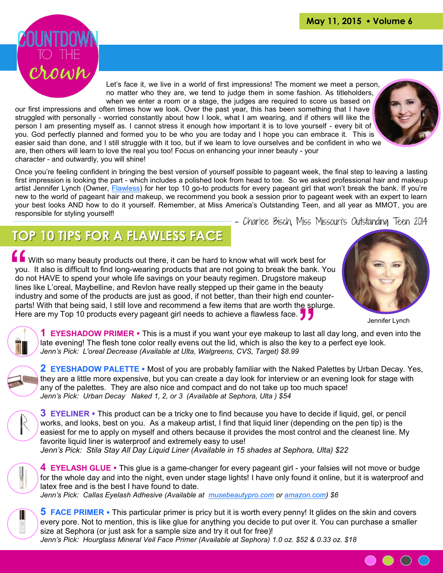

Let's face it, we live in a world of first impressions! The moment we meet a person, no matter who they are, we tend to judge them in some fashion. As titleholders, when we enter a room or a stage, the judges are required to score us based on

our first impressions and often times how we look. Over the past year, this has been something that I have struggled with personally - worried constantly about how I look, what I am wearing, and if others will like the person I am presenting myself as. I cannot stress it enough how important it is to love yourself - every bit of you. God perfectly planned and formed you to be who you are today and I hope you can embrace it. This is easier said than done, and I still struggle with it too, but if we learn to love ourselves and be confident in who we are, then others will learn to love the real you too! Focus on enhancing your inner beauty - your character - and outwardly, you will shine!

Once you're feeling confident in bringing the best version of yourself possible to pageant week, the final step to leaving a lasting first impression is looking the part - which includes a polished look from head to toe. So we asked professional hair and makeup artist Jennifer Lynch (Owner, [Flawless\)](http://www.flawlesstl.com/) for her top 10 go-to products for every pageant girl that won't break the bank. If you're new to the world of pageant hair and makeup, we recommend you book a session prior to pageant week with an expert to learn your best looks AND how to do it yourself. Remember, at Miss America's Outstanding Teen, and all year as MMOT, you are responsible for styling yourself! - Charlee Bisch, Miss Missouri's Outstanding Teen 2014

 **TOP 10 TIPS FOR A FLAWLESS FACE**

 $\begin{array}{c} \hline \mathbf{G} \\ \mathbf{you} \\ \mathbf{do} \\ \mathbf{line} \\ \mathbf{inde} \end{array}$ beauty<br>d counter-<br>e splurge<br>**J J Nota** With so many beauty products out there, it can be hard to know what will work best for you. It also is difficult to find long-wearing products that are not going to break the bank. You do not HAVE to spend your whole life savings on your beauty regimen. Drugstore makeup lines like L'oreal, Maybelline, and Revlon have really stepped up their game in the beauty industry and some of the products are just as good, if not better, than their high end counterparts! With that being said, I still love and recommend a few items that are worth the splurge. Here are my Top 10 products every pageant girl needs to achieve a flawless face.  $\sqrt{2}$ 



Jennifer Lynch

 $\bullet$   $\circ$   $\circ$ 



**1 EYESHADOW PRIMER** • This is a must if you want your eye makeup to last all day long, and even into the late evening! The flesh tone color really evens out the lid, which is also the key to a perfect eye look. *Jenn's Pick: L'oreal Decrease (Available at Ulta, Walgreens, CVS, Target) \$8.99*



**2 EYESHADOW PALETTE** • Most of you are probably familiar with the Naked Palettes by Urban Decay. Yes, they are a little more expensive, but you can create a day look for interview or an evening look for stage with any of the palettes. They are also nice and compact and do not take up too much space! *Jenn's Pick: Urban Decay Naked 1, 2, or 3 (Available at Sephora, Ulta ) \$54*



**3 EYELINER** • This product can be a tricky one to find because you have to decide if liquid, gel, or pencil works, and looks, best on you. As a makeup artist, I find that liquid liner (depending on the pen tip) is the easiest for me to apply on myself and others because it provides the most control and the cleanest line. My favorite liquid liner is waterproof and extremely easy to use! *Jenn's Pick: Stila Stay All Day Liquid Liner (Available in 15 shades at Sephora, Ulta) \$22*



**4 EYELASH GLUE**  This glue is a game-changer for every pageant girl - your falsies will not move or budge for the whole day and into the night, even under stage lights! I have only found it online, but it is waterproof and latex free and is the best I have found to date. *Jenn's Pick: Callas Eyelash Adhesive (Available at [musebeautypro.com](https://www.musebeautypro.com) or [amazon.com\)](http://www.amazon.com) \$6*



**5 FACE PRIMER** • This particular primer is pricy but it is worth every penny! It glides on the skin and covers every pore. Not to mention, this is like glue for anything you decide to put over it. You can purchase a smaller size at Sephora (or just ask for a sample size and try it out for free)! *Jenn's Pick: Hourglass Mineral Veil Face Primer (Available at Sephora) 1.0 oz. \$52 & 0.33 oz. \$18*